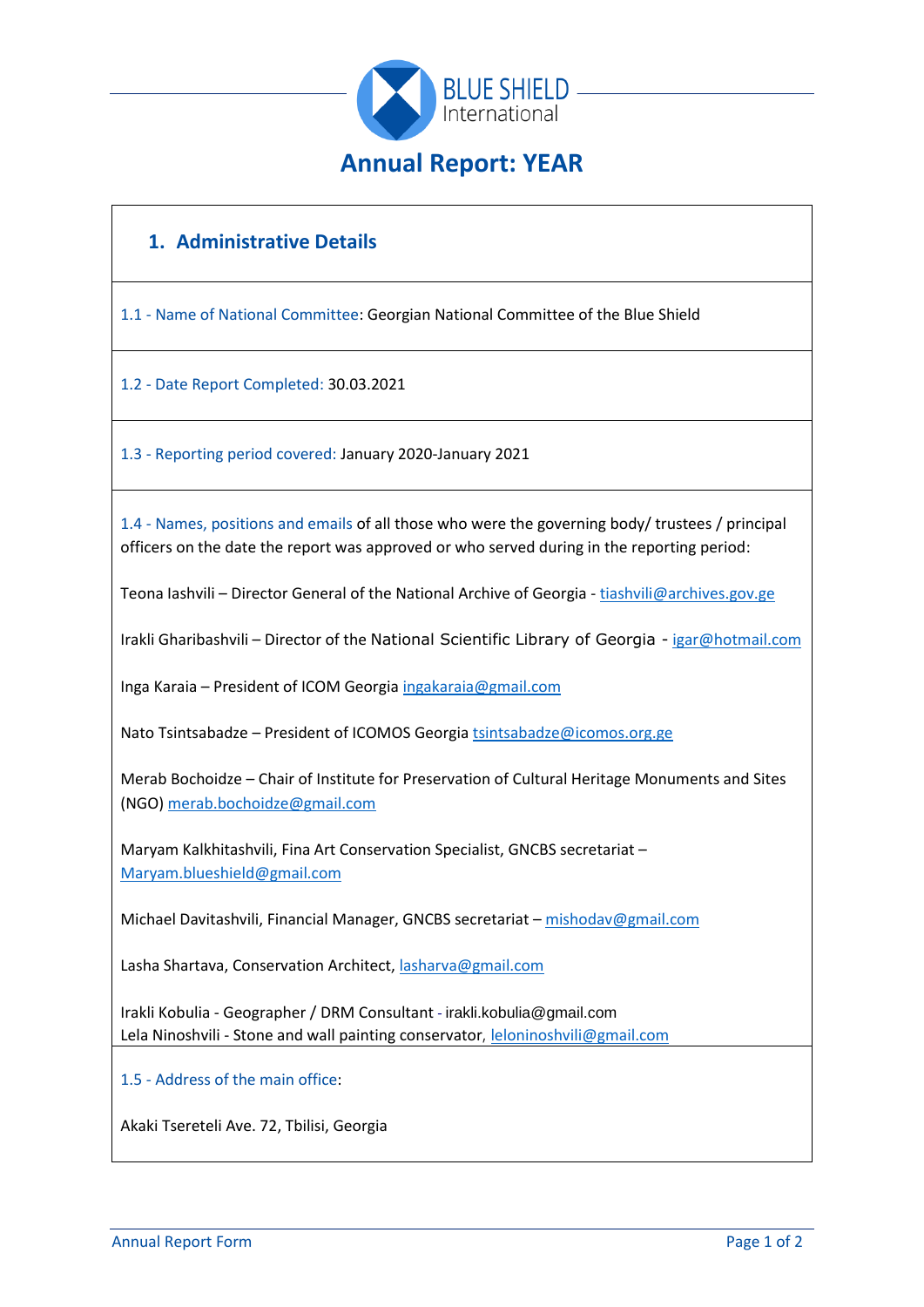

# **1. Administrative Details**

1.1 - Name of National Committee: Georgian National Committee of the Blue Shield

1.2 - Date Report Completed: 30.03.2021

1.3 - Reporting period covered: January 2020-January 2021

1.4 - Names, positions and emails of all those who were the governing body/ trustees / principal officers on the date the report was approved or who served during in the reporting period:

Teona Iashvili – Director General of the National Archive of Georgia - [tiashvili@archives.gov.ge](mailto:tiashvili@archives.gov.ge)

Irakli Gharibashvili – Director of the National Scientific Library of Georgia - [igar@hotmail.com](mailto:igar@hotmail.com)

Inga Karaia – President of ICOM Georgi[a ingakaraia@gmail.com](mailto:ingakaraia@gmail.com)

Nato Tsintsabadze – President of ICOMOS Georgia [tsintsabadze@icomos.org.ge](mailto:tsintsabadze@icomos.org.ge)

Merab Bochoidze – Chair of Institute for Preservation of Cultural Heritage Monuments and Sites (NGO) [merab.bochoidze@gmail.com](mailto:merab.bochoidze@gmail.com)

Maryam Kalkhitashvili, Fina Art Conservation Specialist, GNCBS secretariat – [Maryam.blueshield@gmail.com](mailto:Maryam.blueshield@gmail.com)

Michael Davitashvili, Financial Manager, GNCBS secretariat - [mishodav@gmail.com](mailto:mishodav@gmail.com)

Lasha Shartava, Conservation Architect, [lasharva@gmail.com](mailto:lasharva@gmail.com)

Irakli Kobulia - Geographer / DRM Consultant - [irakli.kobulia@gmail.com](mailto:irakli.kobulia@gmail.com) Lela Ninoshvili - Stone and wall painting conservator, [leloninoshvili@gmail.com](mailto:leloninoshvili@gmail.com)

1.5 - Address of the main office:

Akaki Tsereteli Ave. 72, Tbilisi, Georgia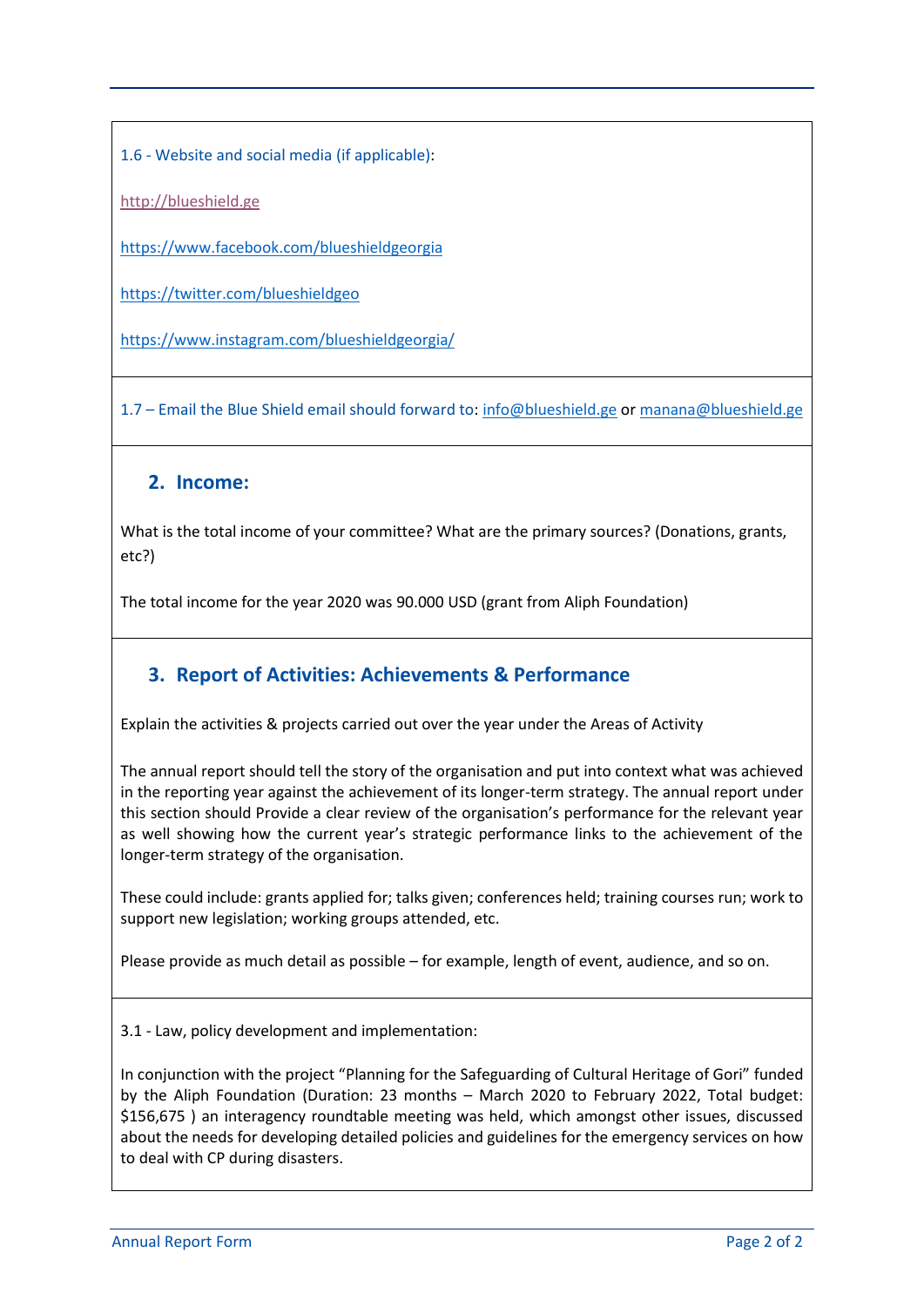1.6 - Website and social media (if applicable):

[http://blueshield.ge](http://blueshield.ge/?page_id=4959&lang=en)

<https://www.facebook.com/blueshieldgeorgia>

<https://twitter.com/blueshieldgeo>

<https://www.instagram.com/blueshieldgeorgia/>

1.7 – Email the Blue Shield email should forward to: [info@blueshield.ge](mailto:info@blueshield.ge) or [manana@blueshield.ge](mailto:manana@blueshield.ge)

### **2. Income:**

What is the total income of your committee? What are the primary sources? (Donations, grants, etc?)

The total income for the year 2020 was 90.000 USD (grant from Aliph Foundation)

## **3. Report of Activities: Achievements & Performance**

Explain the activities & projects carried out over the year under the Areas of Activity

The annual report should tell the story of the organisation and put into context what was achieved in the reporting year against the achievement of its longer-term strategy. The annual report under this section should Provide a clear review of the organisation's performance for the relevant year as well showing how the current year's strategic performance links to the achievement of the longer-term strategy of the organisation.

These could include: grants applied for; talks given; conferences held; training courses run; work to support new legislation; working groups attended, etc.

Please provide as much detail as possible – for example, length of event, audience, and so on.

3.1 - Law, policy development and implementation:

In conjunction with the project "Planning for the Safeguarding of Cultural Heritage of Gori" funded by the Aliph Foundation (Duration: 23 months – March 2020 to February 2022, Total budget: \$156,675 ) an interagency roundtable meeting was held, which amongst other issues, discussed about the needs for developing detailed policies and guidelines for the emergency services on how to deal with CP during disasters.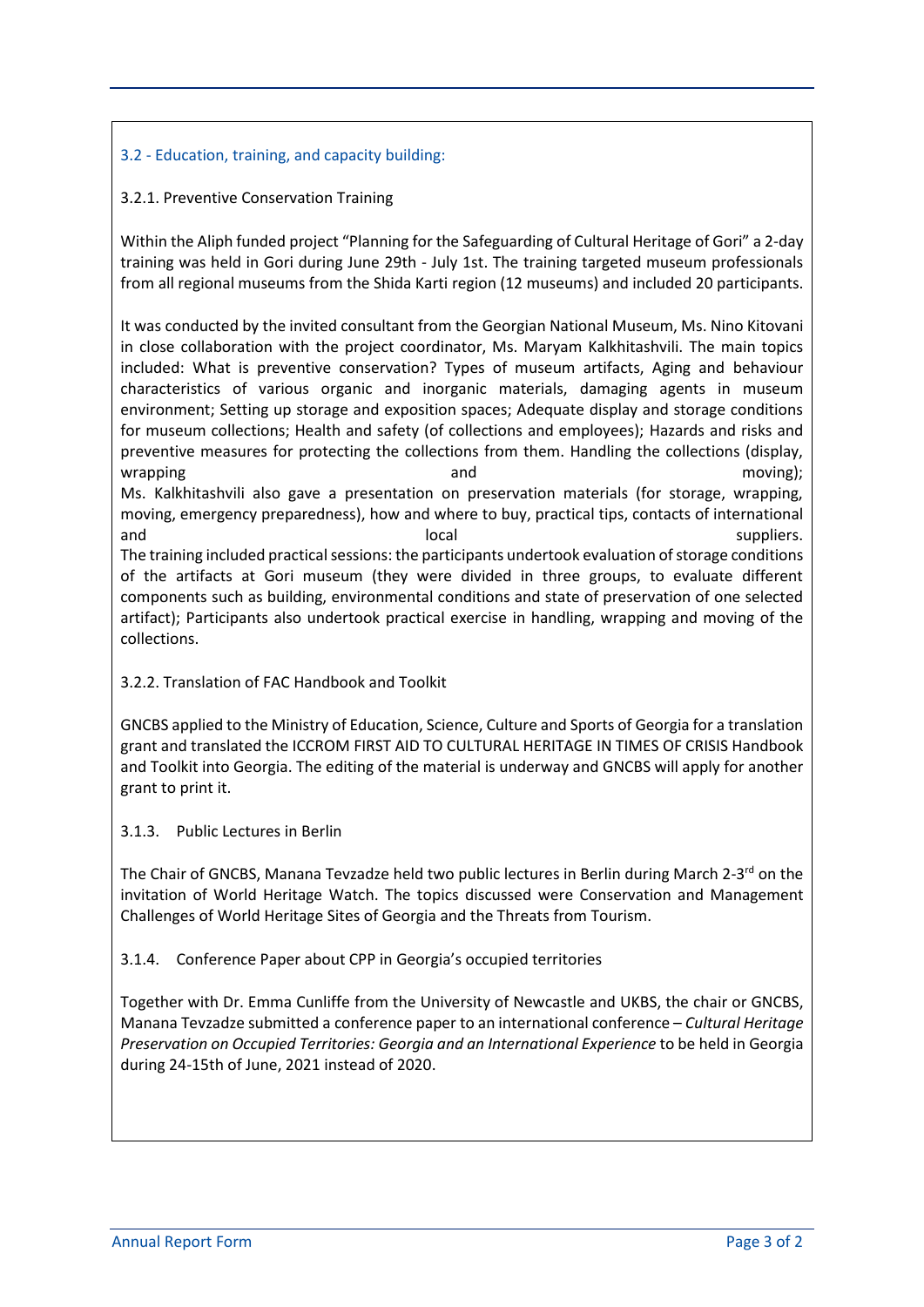### 3.2 - Education, training, and capacity building:

#### 3.2.1. Preventive Conservation Training

Within the Aliph funded project "Planning for the Safeguarding of Cultural Heritage of Gori" a 2-day training was held in Gori during June 29th - July 1st. The training targeted museum professionals from all regional museums from the Shida Karti region (12 museums) and included 20 participants.

It was conducted by the invited consultant from the Georgian National Museum, Ms. Nino Kitovani in close collaboration with the project coordinator, Ms. Maryam Kalkhitashvili. The main topics included: What is preventive conservation? Types of museum artifacts, Aging and behaviour characteristics of various organic and inorganic materials, damaging agents in museum environment; Setting up storage and exposition spaces; Adequate display and storage conditions for museum collections; Health and safety (of collections and employees); Hazards and risks and preventive measures for protecting the collections from them. Handling the collections (display, wrapping and moving); wrapping and moving); Ms. Kalkhitashvili also gave a presentation on preservation materials (for storage, wrapping, moving, emergency preparedness), how and where to buy, practical tips, contacts of international and and suppliers. The local suppliers is a suppliers. The training included practical sessions: the participants undertook evaluation of storage conditions of the artifacts at Gori museum (they were divided in three groups, to evaluate different

components such as building, environmental conditions and state of preservation of one selected artifact); Participants also undertook practical exercise in handling, wrapping and moving of the collections.

#### 3.2.2. Translation of FAC Handbook and Toolkit

GNCBS applied to the Ministry of Education, Science, Culture and Sports of Georgia for a translation grant and translated the ICCROM FIRST AID TO CULTURAL HERITAGE IN TIMES OF CRISIS Handbook and Toolkit into Georgia. The editing of the material is underway and GNCBS will apply for another grant to print it.

#### 3.1.3. Public Lectures in Berlin

The Chair of GNCBS, Manana Tevzadze held two public lectures in Berlin during March 2-3<sup>rd</sup> on the invitation of World Heritage Watch. The topics discussed were Conservation and Management Challenges of World Heritage Sites of Georgia and the Threats from Tourism.

#### 3.1.4. Conference Paper about CPP in Georgia's occupied territories

Together with Dr. Emma Cunliffe from the University of Newcastle and UKBS, the chair or GNCBS, Manana Tevzadze submitted a conference paper to an international conference – *Cultural Heritage Preservation on Occupied Territories: Georgia and an International Experience* to be held in Georgia during 24-15th of June, 2021 instead of 2020.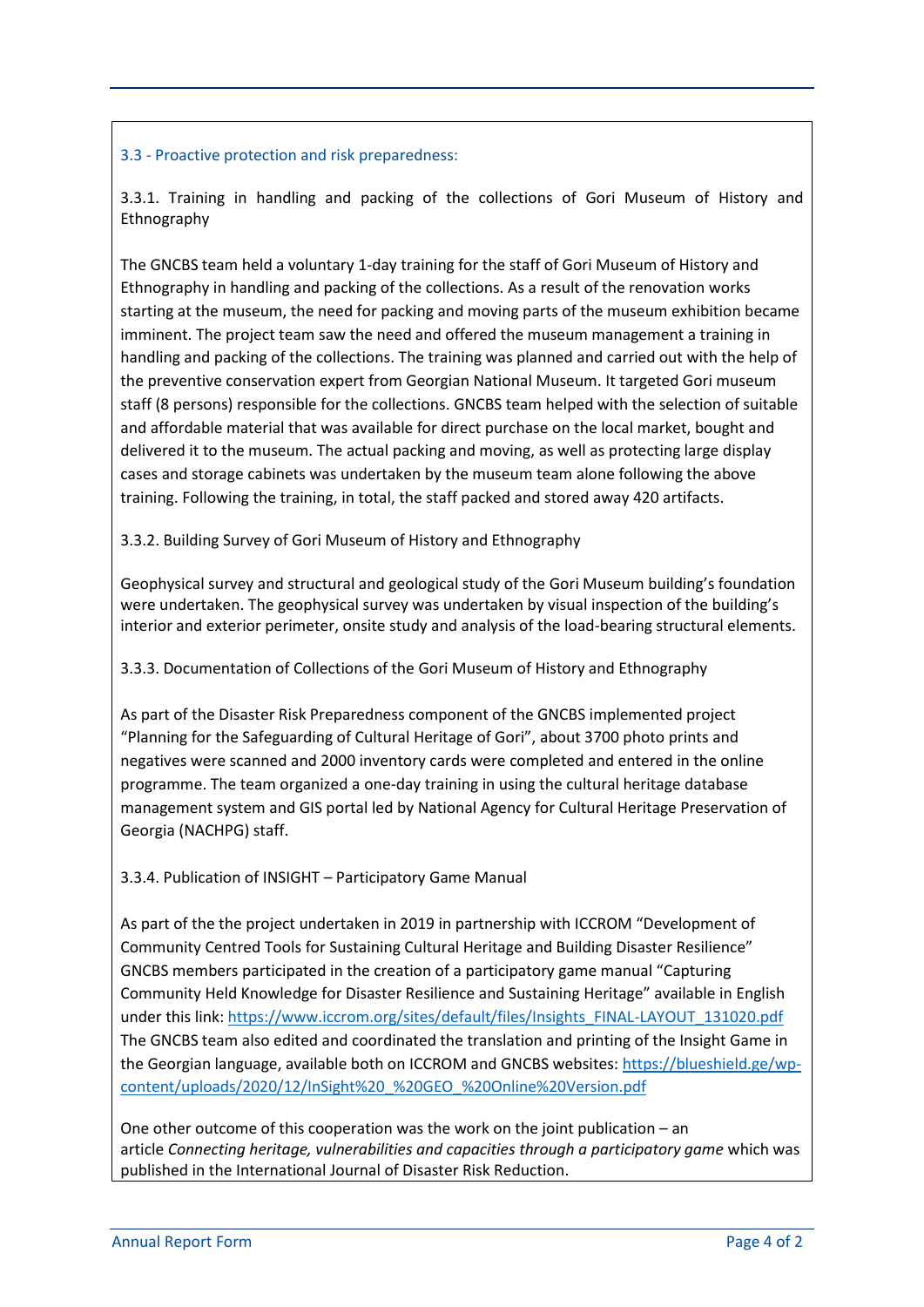#### 3.3 - Proactive protection and risk preparedness:

3.3.1. Training in handling and packing of the collections of Gori Museum of History and Ethnography

The GNCBS team held a voluntary 1-day training for the staff of Gori Museum of History and Ethnography in handling and packing of the collections. As a result of the renovation works starting at the museum, the need for packing and moving parts of the museum exhibition became imminent. The project team saw the need and offered the museum management a training in handling and packing of the collections. The training was planned and carried out with the help of the preventive conservation expert from Georgian National Museum. It targeted Gori museum staff (8 persons) responsible for the collections. GNCBS team helped with the selection of suitable and affordable material that was available for direct purchase on the local market, bought and delivered it to the museum. The actual packing and moving, as well as protecting large display cases and storage cabinets was undertaken by the museum team alone following the above training. Following the training, in total, the staff packed and stored away 420 artifacts.

3.3.2. Building Survey of Gori Museum of History and Ethnography

Geophysical survey and structural and geological study of the Gori Museum building's foundation were undertaken. The geophysical survey was undertaken by visual inspection of the building's interior and exterior perimeter, onsite study and analysis of the load-bearing structural elements.

3.3.3. Documentation of Collections of the Gori Museum of History and Ethnography

As part of the Disaster Risk Preparedness component of the GNCBS implemented project "Planning for the Safeguarding of Cultural Heritage of Gori", about 3700 photo prints and negatives were scanned and 2000 inventory cards were completed and entered in the online programme. The team organized a one-day training in using the cultural heritage database management system and GIS portal led by National Agency for Cultural Heritage Preservation of Georgia (NACHPG) staff.

3.3.4. Publication of INSIGHT – Participatory Game Manual

As part of the the project undertaken in 2019 in partnership with ICCROM "Development of Community Centred Tools for Sustaining Cultural Heritage and Building Disaster Resilience" GNCBS members participated in the creation of a participatory game manual "Capturing Community Held Knowledge for Disaster Resilience and Sustaining Heritage" available in English under this link: [https://www.iccrom.org/sites/default/files/Insights\\_FINAL-LAYOUT\\_131020.pdf](https://www.iccrom.org/sites/default/files/Insights_FINAL-LAYOUT_131020.pdf) The GNCBS team also edited and coordinated the translation and printing of the Insight Game in the Georgian language, available both on ICCROM and GNCBS websites: [https://blueshield.ge/wp](https://blueshield.ge/wp-content/uploads/2020/12/InSight%20_%20GEO_%20Online%20Version.pdf)[content/uploads/2020/12/InSight%20\\_%20GEO\\_%20Online%20Version.pdf](https://blueshield.ge/wp-content/uploads/2020/12/InSight%20_%20GEO_%20Online%20Version.pdf)

One other outcome of this cooperation was the work on the joint publication – an article *Connecting heritage, vulnerabilities and capacities through a participatory game* which was published in the International Journal of Disaster Risk Reduction.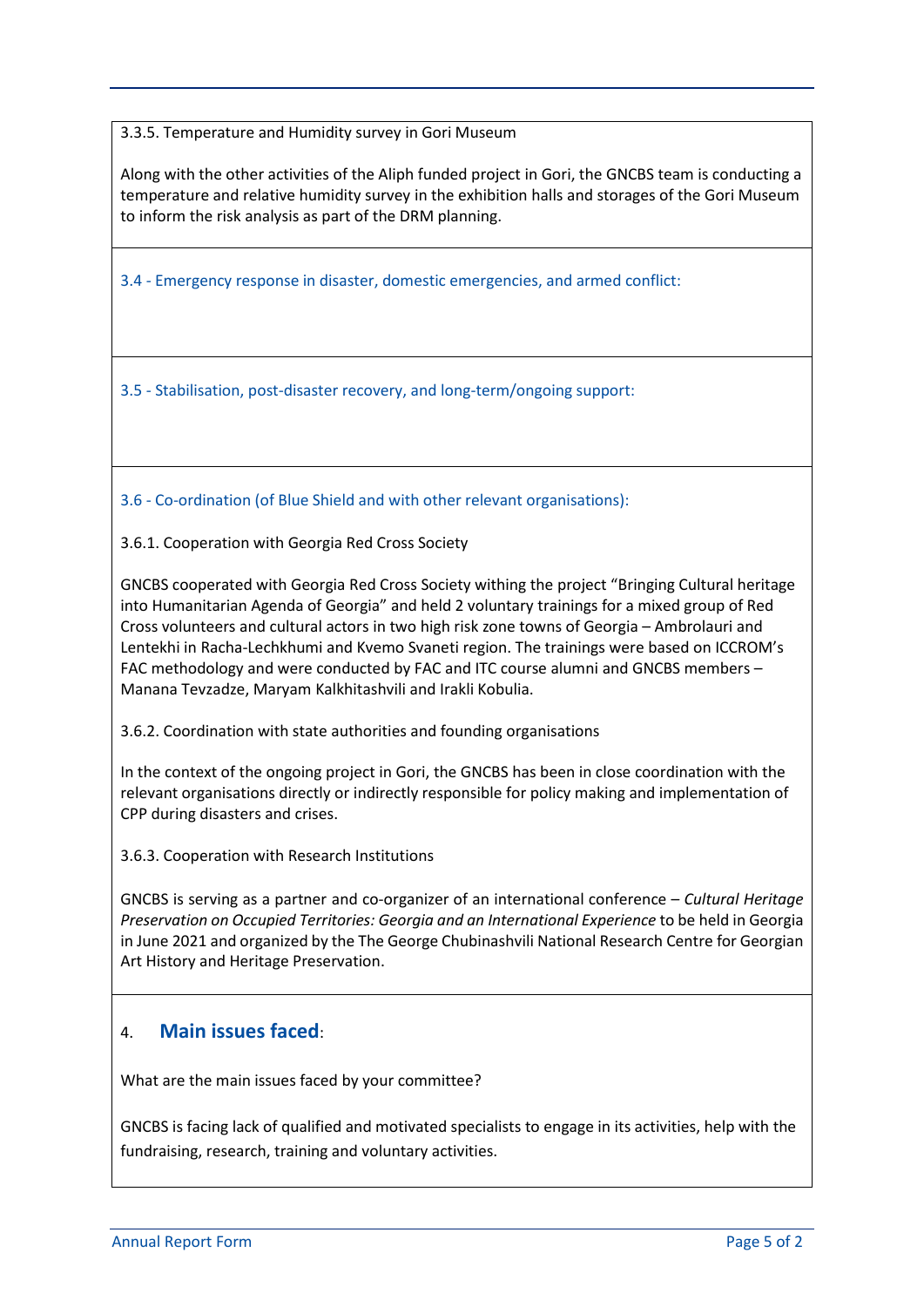3.3.5. Temperature and Humidity survey in Gori Museum

Along with the other activities of the Aliph funded project in Gori, the GNCBS team is conducting a temperature and relative humidity survey in the exhibition halls and storages of the Gori Museum to inform the risk analysis as part of the DRM planning.

3.4 - Emergency response in disaster, domestic emergencies, and armed conflict:

3.5 - Stabilisation, post-disaster recovery, and long-term/ongoing support:

3.6 - Co-ordination (of Blue Shield and with other relevant organisations):

3.6.1. Cooperation with Georgia Red Cross Society

GNCBS cooperated with Georgia Red Cross Society withing the project "Bringing Cultural heritage into Humanitarian Agenda of Georgia" and held 2 voluntary trainings for a mixed group of Red Cross volunteers and cultural actors in two high risk zone towns of Georgia – Ambrolauri and Lentekhi in Racha-Lechkhumi and Kvemo Svaneti region. The trainings were based on ICCROM's FAC methodology and were conducted by FAC and ITC course alumni and GNCBS members – Manana Tevzadze, Maryam Kalkhitashvili and Irakli Kobulia.

3.6.2. Coordination with state authorities and founding organisations

In the context of the ongoing project in Gori, the GNCBS has been in close coordination with the relevant organisations directly or indirectly responsible for policy making and implementation of CPP during disasters and crises.

3.6.3. Cooperation with Research Institutions

GNCBS is serving as a partner and co-organizer of an international conference – *Cultural Heritage Preservation on Occupied Territories: Georgia and an International Experience* to be held in Georgia in June 2021 and organized by the The George Chubinashvili National Research Centre for Georgian Art History and Heritage Preservation.

## 4. **Main issues faced**:

What are the main issues faced by your committee?

GNCBS is facing lack of qualified and motivated specialists to engage in its activities, help with the fundraising, research, training and voluntary activities.